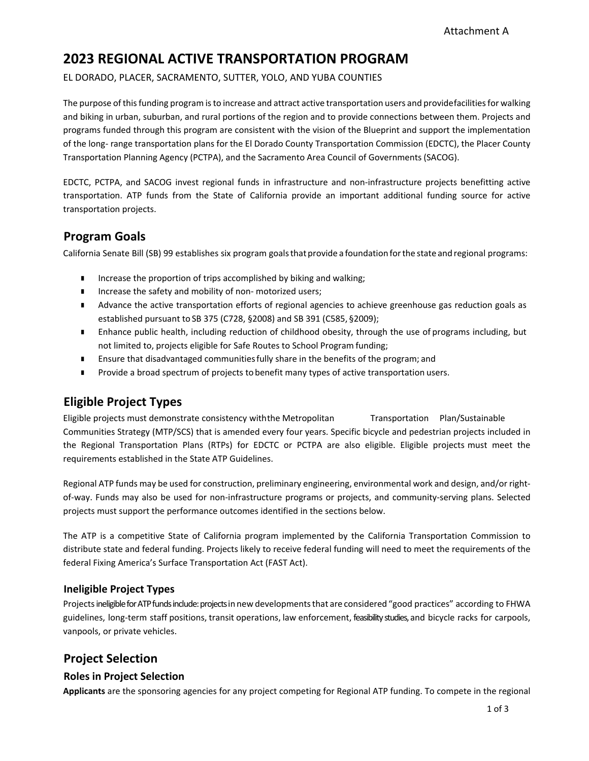# **2023 REGIONAL ACTIVE TRANSPORTATION PROGRAM**

EL DORADO, PLACER, SACRAMENTO, SUTTER, YOLO, AND YUBA COUNTIES

The purpose of this funding program is to increase and attract active transportation users and providefacilities for walking and biking in urban, suburban, and rural portions of the region and to provide connections between them. Projects and programs funded through this program are consistent with the vision of the Blueprint and support the implementation of the long‐ range transportation plans for the El Dorado County Transportation Commission (EDCTC), the Placer County Transportation Planning Agency (PCTPA), and the Sacramento Area Council of Governments(SACOG).

EDCTC, PCTPA, and SACOG invest regional funds in infrastructure and non‐infrastructure projects benefitting active transportation. ATP funds from the State of California provide an important additional funding source for active transportation projects.

## **Program Goals**

California Senate Bill (SB) 99 establishes six program goalsthat provide a foundation forthe state and regional programs:

- Increase the proportion of trips accomplished by biking and walking;
- Increase the safety and mobility of non-motorized users;
- **Advance the active transportation efforts of regional agencies to achieve greenhouse gas reduction goals as** established pursuant to SB 375 (C728, §2008) and SB 391 (C585, §2009);
- **Enhance public health, including reduction of childhood obesity, through the use of programs including, but** not limited to, projects eligible for Safe Routes to School Program funding;
- **Ensure that disadvantaged communities fully share in the benefits of the program; and**
- **Provide a broad spectrum of projects to benefit many types of active transportation users.**

## **Eligible Project Types**

Eligible projects must demonstrate consistency withthe Metropolitan Transportation Plan/Sustainable Communities Strategy (MTP/SCS) that is amended every four years. Specific bicycle and pedestrian projects included in the Regional Transportation Plans (RTPs) for EDCTC or PCTPA are also eligible. Eligible projects must meet the requirements established in the State ATP Guidelines.

Regional ATP funds may be used for construction, preliminary engineering, environmental work and design, and/or right‐ of-way. Funds may also be used for non-infrastructure programs or projects, and community-serving plans. Selected projects must support the performance outcomes identified in the sections below.

The ATP is a competitive State of California program implemented by the California Transportation Commission to distribute state and federal funding. Projects likely to receive federal funding will need to meet the requirements of the federal Fixing America's Surface Transportation Act (FAST Act).

### **Ineligible Project Types**

Projects ineligible for ATP funds include: projects in new developments that are considered "good practices" according to FHWA guidelines, long-term staff positions, transit operations, law enforcement, feasibility studies, and bicycle racks for carpools, vanpools, or private vehicles.

## **Project Selection**

#### **Roles in Project Selection**

**Applicants** are the sponsoring agencies for any project competing for Regional ATP funding. To compete in the regional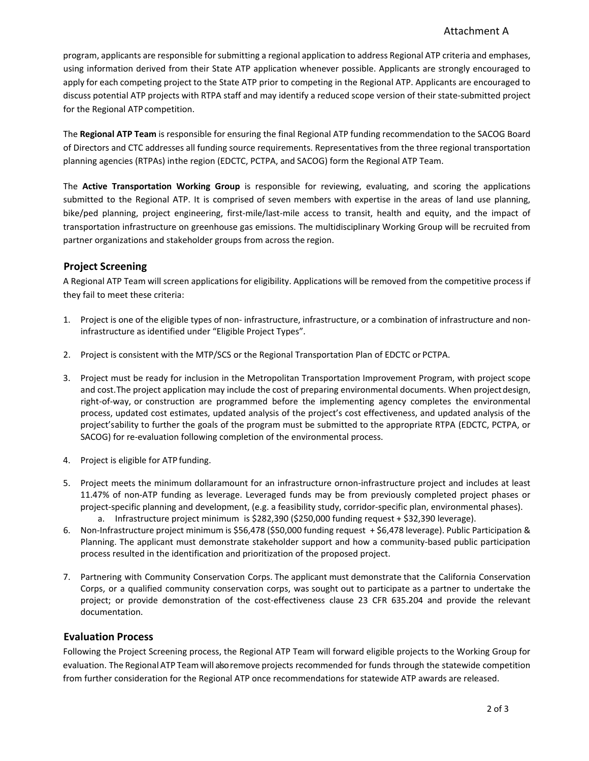### Attachment A

program, applicants are responsible for submitting a regional application to address Regional ATP criteria and emphases, using information derived from their State ATP application whenever possible. Applicants are strongly encouraged to apply for each competing project to the State ATP prior to competing in the Regional ATP. Applicants are encouraged to discuss potential ATP projects with RTPA staff and may identify a reduced scope version of their state‐submitted project for the Regional ATP competition.

The **Regional ATP Team** is responsible for ensuring the final Regional ATP funding recommendation to the SACOG Board of Directors and CTC addresses all funding source requirements. Representatives from the three regional transportation planning agencies (RTPAs) inthe region (EDCTC, PCTPA, and SACOG) form the Regional ATP Team.

The **Active Transportation Working Group** is responsible for reviewing, evaluating, and scoring the applications submitted to the Regional ATP. It is comprised of seven members with expertise in the areas of land use planning, bike/ped planning, project engineering, first-mile/last-mile access to transit, health and equity, and the impact of transportation infrastructure on greenhouse gas emissions. The multidisciplinary Working Group will be recruited from partner organizations and stakeholder groups from across the region.

#### **Project Screening**

A Regional ATP Team will screen applications for eligibility. Applications will be removed from the competitive process if they fail to meet these criteria:

- 1. Project is one of the eligible types of non‐ infrastructure, infrastructure, or a combination of infrastructure and non‐ infrastructure as identified under "Eligible Project Types".
- 2. Project is consistent with the MTP/SCS or the Regional Transportation Plan of EDCTC or PCTPA.
- 3. Project must be ready for inclusion in the Metropolitan Transportation Improvement Program, with project scope and cost.The project application may include the cost of preparing environmental documents. When projectdesign, right‐of‐way, or construction are programmed before the implementing agency completes the environmental process, updated cost estimates, updated analysis of the project's cost effectiveness, and updated analysis of the project'sability to further the goals of the program must be submitted to the appropriate RTPA (EDCTC, PCTPA, or SACOG) for re-evaluation following completion of the environmental process.
- 4. Project is eligible for ATP funding.
- 5. Project meets the minimum dollaramount for an infrastructure ornon-infrastructure project and includes at least 11.47% of non‐ATP funding as leverage. Leveraged funds may be from previously completed project phases or project-specific planning and development, (e.g. a feasibility study, corridor-specific plan, environmental phases). a. Infrastructure project minimum is \$282,390 (\$250,000 funding request + \$32,390 leverage).
- 6. Non‐Infrastructure project minimum is \$56,478 (\$50,000 funding request + \$6,478 leverage). Public Participation & Planning. The applicant must demonstrate stakeholder support and how a community‐based public participation process resulted in the identification and prioritization of the proposed project.
- 7. Partnering with Community Conservation Corps. The applicant must demonstrate that the California Conservation Corps, or a qualified community conservation corps, was sought out to participate as a partner to undertake the project; or provide demonstration of the cost-effectiveness clause 23 CFR 635.204 and provide the relevant documentation.

#### **Evaluation Process**

Following the Project Screening process, the Regional ATP Team will forward eligible projects to the Working Group for evaluation. The Regional ATP Team will also remove projects recommended for funds through the statewide competition from further consideration for the Regional ATP once recommendations for statewide ATP awards are released.